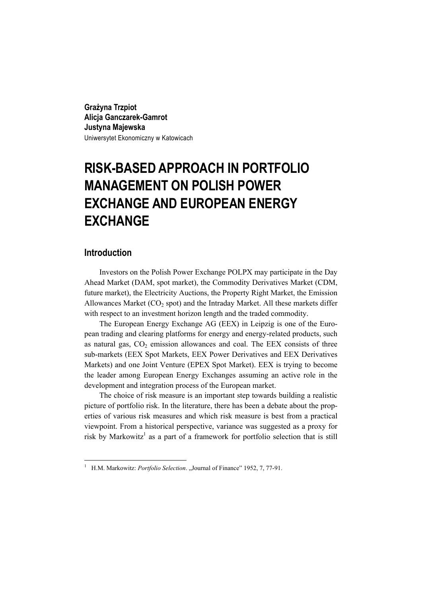**Grażyna Trzpiot Alicja Ganczarek-Gamrot Justyna Majewska**  Uniwersytet Ekonomiczny w Katowicach

# **RISK-BASED APPROACH IN PORTFOLIO MANAGEMENT ON POLISH POWER EXCHANGE AND EUROPEAN ENERGY EXCHANGE**

## **Introduction**

 $\overline{a}$ 

Investors on the Polish Power Exchange POLPX may participate in the Day Ahead Market (DAM, spot market), the Commodity Derivatives Market (CDM, future market), the Electricity Auctions, the Property Right Market, the Emission Allowances Market  $(CO<sub>2</sub> spot)$  and the Intraday Market. All these markets differ with respect to an investment horizon length and the traded commodity.

The European Energy Exchange AG (EEX) in Leipzig is one of the European trading and clearing platforms for energy and energy-related products, such as natural gas,  $CO<sub>2</sub>$  emission allowances and coal. The EEX consists of three sub-markets (EEX Spot Markets, EEX Power Derivatives and EEX Derivatives Markets) and one Joint Venture (EPEX Spot Market). EEX is trying to become the leader among European Energy Exchanges assuming an active role in the development and integration process of the European market.

The choice of risk measure is an important step towards building a realistic picture of portfolio risk. In the literature, there has been a debate about the properties of various risk measures and which risk measure is best from a practical viewpoint. From a historical perspective, variance was suggested as a proxy for risk by Markowitz<sup>1</sup> as a part of a framework for portfolio selection that is still

<sup>&</sup>lt;sup>1</sup> H.M. Markowitz: *Portfolio Selection*. "Journal of Finance" 1952, 7, 77-91.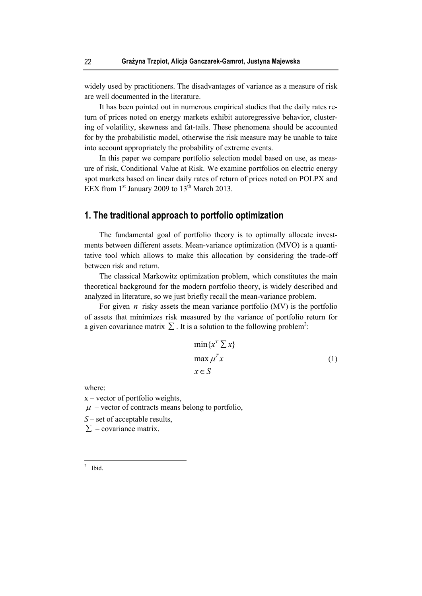widely used by practitioners. The disadvantages of variance as a measure of risk are well documented in the literature.

It has been pointed out in numerous empirical studies that the daily rates return of prices noted on energy markets exhibit autoregressive behavior, clustering of volatility, skewness and fat-tails. These phenomena should be accounted for by the probabilistic model, otherwise the risk measure may be unable to take into account appropriately the probability of extreme events.

In this paper we compare portfolio selection model based on use, as measure of risk, Conditional Value at Risk. We examine portfolios on electric energy spot markets based on linear daily rates of return of prices noted on POLPX and EEX from  $1<sup>st</sup>$  January 2009 to  $13<sup>th</sup>$  March 2013.

## **1. The traditional approach to portfolio optimization**

The fundamental goal of portfolio theory is to optimally allocate investments between different assets. Mean-variance optimization (MVO) is a quantitative tool which allows to make this allocation by considering the trade-off between risk and return.

The classical Markowitz optimization problem, which constitutes the main theoretical background for the modern portfolio theory, is widely described and analyzed in literature, so we just briefly recall the mean-variance problem.

For given *n* risky assets the mean variance portfolio (MV) is the portfolio of assets that minimizes risk measured by the variance of portfolio return for a given covariance matrix  $\Sigma$ . It is a solution to the following problem<sup>2</sup>:

$$
\min \{x^T \sum x\}
$$
  
\n
$$
\max \mu^T x
$$
  
\n
$$
x \in S
$$
\n(1)

where:

x – vector of portfolio weights,

 $\mu$  – vector of contracts means belong to portfolio,

*S* – set of acceptable results,

 $\Sigma$  – covariance matrix.

 $\frac{1}{2}$  Ibid.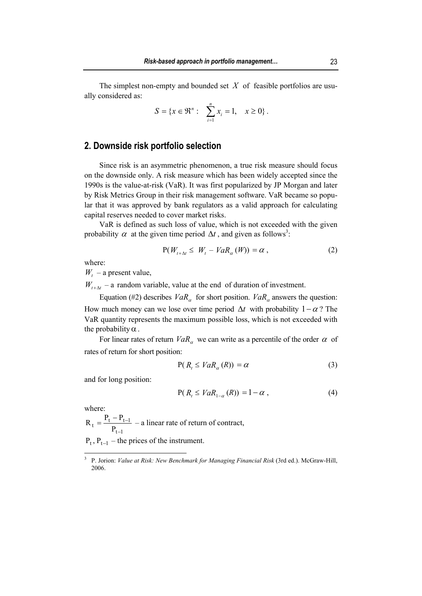The simplest non-empty and bounded set *X* of feasible portfolios are usually considered as:

$$
S = \{x \in \mathfrak{R}^n: \sum_{i=1}^n x_i = 1, \quad x \ge 0\}.
$$

## **2. Downside risk portfolio selection**

Since risk is an asymmetric phenomenon, a true risk measure should focus on the downside only. A risk measure which has been widely accepted since the 1990s is the value-at-risk (VaR). It was first popularized by JP Morgan and later by Risk Metrics Group in their risk management software. VaR became so popular that it was approved by bank regulators as a valid approach for calculating capital reserves needed to cover market risks.

VaR is defined as such loss of value, which is not exceeded with the given probability  $\alpha$  at the given time period  $\Delta t$ , and given as follows<sup>3</sup>:

$$
P(W_{t+\Delta t} \le W_t - VaR_{\alpha}(W)) = \alpha , \qquad (2)
$$

where:

 $W_t$  – a present value,

 $W_{t+\Delta t}$  – a random variable, value at the end of duration of investment.

Equation (#2) describes  $VaR_\alpha$  for short position.  $VaR_\alpha$  answers the question: How much money can we lose over time period  $\Delta t$  with probability  $1-\alpha$ ? The VaR quantity represents the maximum possible loss, which is not exceeded with the probability  $\alpha$ .

For linear rates of return  $VaR_\alpha$  we can write as a percentile of the order  $\alpha$  of rates of return for short position:

$$
P(R_t \leq VaR_{\alpha}(R)) = \alpha \tag{3}
$$

and for long position:

$$
P(R_t \leq VaR_{1-\alpha}(R)) = 1 - \alpha , \qquad (4)
$$

where:

 $\overline{a}$ 

 $t-1$  $t = \frac{P_t - P_{t-1}}{P_{t-1}}$  $R_t = \frac{P_t - P}{P}$ −  $=\frac{P_t - P_{t-1}}{P_t} - a$  linear rate of return of contract,  $P_t$ ,  $P_{t-1}$  – the prices of the instrument.

<sup>3</sup> P. Jorion: *Value at Risk: New Benchmark for Managing Financial Risk* (3rd ed.). McGraw-Hill, 2006.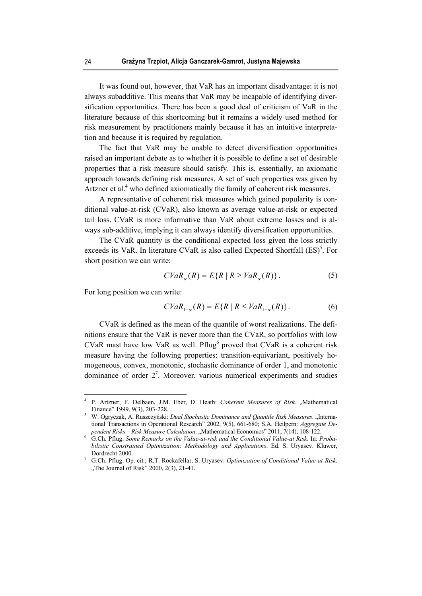It was found out, however, that VaR has an important disadvantage: it is not always subadditive. This means that VaR may be incapable of identifying diversification opportunities. There has been a good deal of criticism of VaR in the literature because of this shortcoming but it remains a widely used method for risk measurement by practitioners mainly because it has an intuitive interpretation and because it is required by regulation.

The fact that VaR may be unable to detect diversification opportunities raised an important debate as to whether it is possible to define a set of desirable properties that a risk measure should satisfy. This is, essentially, an axiomatic approach towards defining risk measures. A set of such properties was given by Artzner et al.<sup>4</sup> who defined axiomatically the family of coherent risk measures.

A representative of coherent risk measures which gained popularity is conditional value-at-risk (CVaR), also known as average value-at-risk or expected tail loss. CVaR is more informative than VaR about extreme losses and is always sub-additive, implying it can always identify diversification opportunities.

The CVaR quantity is the conditional expected loss given the loss strictly exceeds its VaR. In literature CVaR is also called Expected Shortfall  $(ES)^5$ . For short position we can write:

$$
CVaR_{\alpha}(R) = E\{R \mid R \ge VaR_{\alpha}(R)\}.
$$
 (5)

For long position we can write:

 $\overline{a}$ 

$$
CVaR_{1-\alpha}(R) = E\{R \mid R \le VaR_{1-\alpha}(R)\}.
$$
 (6)

CVaR is defined as the mean of the quantile of worst realizations. The definitions ensure that the VaR is never more than the CVaR, so portfolios with low CVaR mast have low VaR as well. Pflug<sup>6</sup> proved that CVaR is a coherent risk measure having the following properties: transition-equivariant, positively homogeneous, convex, monotonic, stochastic dominance of order 1, and monotonic dominance of order  $2^7$ . Moreover, various numerical experiments and studies

<sup>4</sup> P. Artzner, F. Delbaen, J.M. Eber, D. Heath: *Coherent Measures of Risk.* "Mathematical Finance" 1999, 9(3), 203-228. 5 W. Ogryczak, A. Ruszczyński: *Dual Stochastic Dominance and Quantile Risk Measures*. "Interna-

tional Transactions in Operational Research" 2002, 9(5), 661-680; S.A. Heilpern: *Aggregate Dependent Risks – Risk Measure Calculation*. "Mathematical Economics" 2011, 7(14), 108-122. pendent Risks – Risk Measure Calculation. "Mathematical Economics" 2011, 7(14), 108-122.<br><sup>6</sup> G.Ch. Pflug: *Some Remarks on the Value-at-risk and the Conditional Value-at Risk*. In: *Proba-*

*bilistic Constrained Optimization: Methodology and Applications*. Ed. S. Uryasev. Kluwer,

Dordrecht 2000. 7 G.Ch. Pflug: Op. cit.; R.T. Rockafellar, S. Uryasev: *Optimization of Conditional Value-at-Risk*. "The Journal of Risk"  $2000$ ,  $2(3)$ ,  $21-41$ .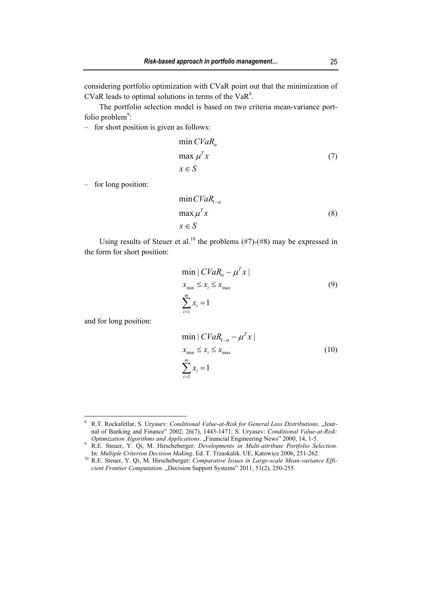considering portfolio optimization with CVaR point out that the minimization of CVaR leads to optimal solutions in terms of the VaR $8$ .

The portfolio selection model is based on two criteria mean-variance portfolio problem $\degree$ :

‒ for short position is given as follows:

$$
\min CVaR_{\alpha} \n\max \mu^{T} x \tag{7} \n x \in S
$$

‒ for long position:

$$
\min CVaR_{1-\alpha} \n\max \mu^{T} x
$$
\n
$$
x \in S
$$
\n(8)

Using results of Steuer et al.<sup>10</sup> the problems  $(\#7)$ - $(\#8)$  may be expressed in the form for short position:

$$
\min | CVaR_{\alpha} - \mu^{T} x |
$$
  
\n
$$
x_{\min} \le x_{i} \le x_{\max}
$$
  
\n
$$
\sum_{i=1}^{m} x_{i} = 1
$$
\n(9)

and for long position:

 $\overline{a}$ 

$$
\min |CVaR_{1-\alpha} - \mu^{T}x|
$$
  

$$
x_{\min} \le x_{i} \le x_{\max}
$$
  

$$
\sum_{i=1}^{m} x_{i} = 1
$$
 (10)

<sup>8</sup> R.T. Rockafellar, S. Uryasev: *Conditional Value-at-Risk for General Loss Distributions*. "Journal of Banking and Finance" 2002, 26(7), 1443-1471; S. Uryasev: *Conditional Value-at-Risk:* 

*Optimization Algorithms and Applications.* "Financial Engineering News" 2000, 14, 1-5.<br><sup>9</sup> R.E. Steuer, Y. Qi, M. Hirscheberger: *Developments in Multi-attribute Portfolio Selection*.

In: *Multiple Criterion Decision Making*. Ed. T. Trzaskalik. UE, Katowice 2006, 251-262. 10 R.E. Steuer, Y. Qi, M. Hirscheberger: *Comparative Issues in Large-scale Mean-variance Efficient Frontier Computation.* "Decision Support Systems" 2011, 51(2), 250-255.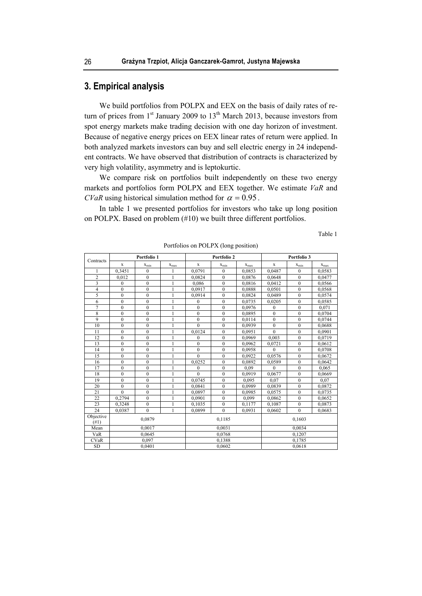## **3. Empirical analysis**

We build portfolios from POLPX and EEX on the basis of daily rates of return of prices from  $1<sup>st</sup>$  January 2009 to  $13<sup>th</sup>$  March 2013, because investors from spot energy markets make trading decision with one day horizon of investment. Because of negative energy prices on EEX linear rates of return were applied. In both analyzed markets investors can buy and sell electric energy in 24 independent contracts. We have observed that distribution of contracts is characterized by very high volatility, asymmetry and is leptokurtic.

We compare risk on portfolios built independently on these two energy markets and portfolios form POLPX and EEX together. We estimate *VaR* and *CVaR* using historical simulation method for  $\alpha = 0.95$ .

In table 1 we presented portfolios for investors who take up long position on POLPX. Based on problem (#10) we built three different portfolios.

Table 1

| Contracts         | Portfolio 1    |              |                | Portfolio 2  |                  |           | Portfolio 3      |                  |           |
|-------------------|----------------|--------------|----------------|--------------|------------------|-----------|------------------|------------------|-----------|
|                   | X              | $X_{min}$    | $X_{max}$      | $\mathbf x$  | $X_{\min}$       | $X_{max}$ | X                | $X_{\min}$       | $X_{max}$ |
|                   | 0,3451         | $\theta$     | 1              | 0,0791       | $\theta$         | 0,0853    | 0,0487           | $\mathbf{0}$     | 0,0583    |
| $\overline{2}$    | 0.012          | $\theta$     | 1              | 0,0824       | $\mathbf{0}$     | 0,0876    | 0,0648           | $\mathbf{0}$     | 0,0477    |
| 3                 | $\mathbf{0}$   | $\mathbf{0}$ | 1              | 0,086        | $\mathbf{0}$     | 0,0816    | 0,0412           | $\mathbf{0}$     | 0,0566    |
| 4                 | $\theta$       | $\theta$     | 1              | 0,0917       | $\theta$         | 0,0888    | 0,0501           | $\theta$         | 0,0568    |
| 5                 | $\theta$       | $\theta$     | 1              | 0,0914       | $\overline{0}$   | 0,0824    | 0,0489           | $\mathbf{0}$     | 0,0574    |
| 6                 | $\overline{0}$ | $\theta$     | $\overline{1}$ | $\theta$     | $\overline{0}$   | 0.0735    | 0,0205           | $\overline{0}$   | 0,0585    |
| 7                 | $\mathbf{0}$   | $\theta$     | 1              | $\mathbf{0}$ | $\mathbf{0}$     | 0.0976    | $\mathbf{0}$     | $\mathbf{0}$     | 0,071     |
| $\overline{8}$    | $\theta$       | $\theta$     | $\mathbf{1}$   | $\theta$     | $\theta$         | 0,0895    | $\theta$         | $\theta$         | 0,0704    |
| 9                 | $\mathbf{0}$   | $\mathbf{0}$ | 1              | $\mathbf{0}$ | $\mathbf{0}$     | 0,0114    | $\boldsymbol{0}$ | $\boldsymbol{0}$ | 0,0744    |
| 10                | $\mathbf{0}$   | $\mathbf{0}$ | 1              | $\theta$     | $\mathbf{0}$     | 0,0939    | $\mathbf{0}$     | $\mathbf{0}$     | 0,0688    |
| 11                | $\mathbf{0}$   | $\mathbf{0}$ | 1              | 0,0124       | $\boldsymbol{0}$ | 0,0951    | $\theta$         | $\mathbf{0}$     | 0,0901    |
| 12                | $\theta$       | $\theta$     | $\mathbf{1}$   | $\theta$     | $\overline{0}$   | 0,0969    | 0.003            | $\theta$         | 0,0719    |
| 13                | $\mathbf{0}$   | $\mathbf{0}$ | $\mathbf{1}$   | $\mathbf{0}$ | $\mathbf{0}$     | 0.0962    | 0,0721           | $\mathbf{0}$     | 0,0612    |
| 14                | $\mathbf{0}$   | $\theta$     | 1              | $\mathbf{0}$ | $\mathbf{0}$     | 0.0958    | $\Omega$         | $\mathbf{0}$     | 0,0708    |
| 15                | $\theta$       | $\mathbf{0}$ | 1              | $\theta$     | 0                | 0,0922    | 0,0576           | $\mathbf{0}$     | 0,0672    |
| 16                | $\mathbf{0}$   | $\mathbf{0}$ | 1              | 0,0252       | $\boldsymbol{0}$ | 0,0892    | 0,0589           | $\boldsymbol{0}$ | 0,0642    |
| 17                | $\mathbf{0}$   | $\mathbf{0}$ | $\mathbf{1}$   | $\mathbf{0}$ | $\overline{0}$   | 0.09      | $\theta$         | $\mathbf{0}$     | 0,065     |
| 18                | $\mathbf{0}$   | $\mathbf{0}$ | 1              | $\Omega$     | $\overline{0}$   | 0.0919    | 0.0677           | $\mathbf{0}$     | 0,0669    |
| 19                | $\theta$       | $\theta$     | $\mathbf{1}$   | 0,0745       | $\overline{0}$   | 0.095     | 0.07             | $\mathbf{0}$     | 0.07      |
| 20                | $\theta$       | $\theta$     | $\mathbf{1}$   | 0.0841       | $\mathbf{0}$     | 0.0989    | 0.0839           | $\mathbf{0}$     | 0,0872    |
| 21                | $\theta$       | $\mathbf{0}$ | 1              | 0.0897       | $\boldsymbol{0}$ | 0.0985    | 0.0575           | $\mathbf{0}$     | 0,0735    |
| 22                | 0,2794         | $\theta$     | $\mathbf{1}$   | 0.0901       | $\overline{0}$   | 0.099     | 0,0862           | $\mathbf{0}$     | 0,0652    |
| 23                | 0,3248         | $\mathbf{0}$ | $\mathbf{1}$   | 0,1035       | $\mathbf{0}$     | 0,1177    | 0,1087           | $\mathbf{0}$     | 0,0873    |
| 24                | 0.0387         | $\mathbf{0}$ | $\mathbf{1}$   | 0.0899       | $\overline{0}$   | 0.0931    | 0.0602           | $\mathbf{0}$     | 0.0683    |
| Objective<br>(#1) | 0,0879         |              |                | 0,1185       |                  |           | 0,1603           |                  |           |
| Mean              | 0,0017         |              |                | 0,0031       |                  |           | 0,0034           |                  |           |
| VaR               | 0,0645         |              |                | 0,0768       |                  |           | 0,1207           |                  |           |
| <b>CVaR</b>       | 0,097          |              |                | 0,1388       |                  |           | 0,1785           |                  |           |
| <b>SD</b>         | 0.0401         |              |                | 0.0602       |                  |           | 0,0618           |                  |           |

Portfolios on POLPX (long position)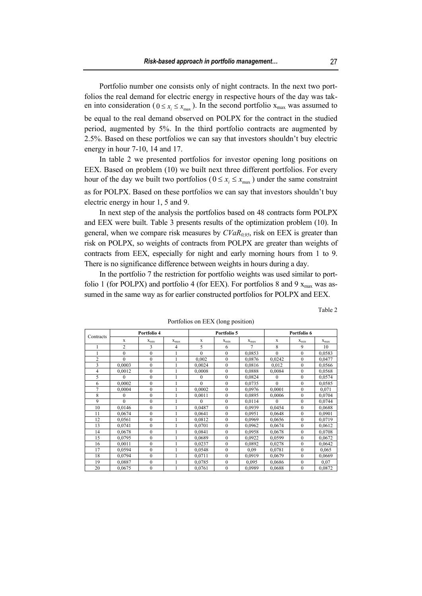Portfolio number one consists only of night contracts. In the next two portfolios the real demand for electric energy in respective hours of the day was taken into consideration ( $0 \le x_i \le x_{max}$ ). In the second portfolio  $x_{max}$  was assumed to be equal to the real demand observed on POLPX for the contract in the studied period, augmented by 5%. In the third portfolio contracts are augmented by 2.5%. Based on these portfolios we can say that investors shouldn't buy electric energy in hour 7-10, 14 and 17.

In table 2 we presented portfolios for investor opening long positions on EEX. Based on problem (10) we built next three different portfolios. For every hour of the day we built two portfolios ( $0 \le x_i \le x_{max}$ ) under the same constraint as for POLPX. Based on these portfolios we can say that investors shouldn't buy electric energy in hour 1, 5 and 9.

In next step of the analysis the portfolios based on 48 contracts form POLPX and EEX were built. Table 3 presents results of the optimization problem (10). In general, when we compare risk measures by  $CVaR<sub>0.95</sub>$ , risk on EEX is greater than risk on POLPX, so weights of contracts from POLPX are greater than weights of contracts from EEX, especially for night and early morning hours from 1 to 9. There is no significance difference between weights in hours during a day.

In the portfolio 7 the restriction for portfolio weights was used similar to portfolio 1 (for POLPX) and portfolio 4 (for EEX). For portfolios 8 and 9  $x_{\text{max}}$  was assumed in the same way as for earlier constructed portfolios for POLPX and EEX.

Table 2

|                | Portfolio 4  |              |           | Portfolio 5  |                  |                | Portfolio 6  |              |           |
|----------------|--------------|--------------|-----------|--------------|------------------|----------------|--------------|--------------|-----------|
| Contracts      | X            | $X_{\min}$   | $X_{max}$ | X            | $X_{min}$        | $X_{max}$      | X            | $X_{min}$    | $x_{max}$ |
|                | 2            | 3            | 4         | 5            | 6                | $\overline{7}$ | 8            | 9            | 10        |
|                | $\mathbf{0}$ | $\mathbf{0}$ |           | $\theta$     | $\mathbf{0}$     | 0,0853         | $\theta$     | $\Omega$     | 0,0583    |
| $\overline{c}$ | $\theta$     | $\theta$     |           | 0.002        | $\mathbf{0}$     | 0,0876         | 0,0242       | $\theta$     | 0,0477    |
| 3              | 0,0003       | $\Omega$     |           | 0,0024       | $\mathbf{0}$     | 0,0816         | 0,012        | $\mathbf{0}$ | 0,0566    |
| 4              | 0,0012       | $\mathbf{0}$ |           | 0,0008       | $\boldsymbol{0}$ | 0,0888         | 0,0084       | $\mathbf{0}$ | 0,0568    |
| 5              | $\theta$     | $\mathbf{0}$ |           | $\mathbf{0}$ | $\mathbf{0}$     | 0,0824         | $\mathbf{0}$ | $\mathbf{0}$ | 0,0574    |
| 6              | 0.0002       | $\theta$     |           | $\theta$     | $\mathbf{0}$     | 0,0735         | $\Omega$     | $\mathbf{0}$ | 0,0585    |
| $\overline{7}$ | 0.0004       | $\Omega$     |           | 0,0002       | $\mathbf{0}$     | 0,0976         | 0,0001       | $\mathbf{0}$ | 0,071     |
| 8              | 0            | $\theta$     |           | 0,0011       | $\mathbf{0}$     | 0,0895         | 0.0006       | $\mathbf{0}$ | 0,0704    |
| 9              | $\theta$     | $\mathbf{0}$ |           | $\Omega$     | $\mathbf{0}$     | 0,0114         | $\Omega$     | $\mathbf{0}$ | 0,0744    |
| 10             | 0,0146       | $\mathbf{0}$ |           | 0.0487       | $\mathbf{0}$     | 0,0939         | 0,0454       | $\mathbf{0}$ | 0,0688    |
| 11             | 0,0674       | $\theta$     |           | 0.0641       | $\mathbf{0}$     | 0,0951         | 0,0648       | $\mathbf{0}$ | 0,0901    |
| 12             | 0.0561       | $\mathbf{0}$ |           | 0,0812       | $\mathbf{0}$     | 0.0969         | 0,0656       | $\mathbf{0}$ | 0,0719    |
| 13             | 0,0741       | $\theta$     |           | 0,0701       | $\mathbf{0}$     | 0,0962         | 0,0674       | $\mathbf{0}$ | 0,0612    |
| 14             | 0,0678       | $\theta$     |           | 0.0841       | $\mathbf{0}$     | 0.0958         | 0,0678       | $\mathbf{0}$ | 0,0708    |
| 15             | 0,0795       | $\theta$     |           | 0,0689       | $\mathbf{0}$     | 0,0922         | 0,0599       | $\mathbf{0}$ | 0,0672    |
| 16             | 0,0011       | $\theta$     |           | 0,0237       | $\mathbf{0}$     | 0,0892         | 0,0278       | $\mathbf{0}$ | 0,0642    |
| 17             | 0,0594       | $\theta$     |           | 0,0548       | $\mathbf{0}$     | 0,09           | 0,0781       | $\mathbf{0}$ | 0,065     |
| 18             | 0,0794       | $\mathbf{0}$ |           | 0,0711       | $\mathbf{0}$     | 0,0919         | 0,0679       | $\mathbf{0}$ | 0,0669    |
| 19             | 0,0887       | $\theta$     |           | 0.0785       | $\mathbf{0}$     | 0,095          | 0,0686       | $\mathbf{0}$ | 0,07      |
| 20             | 0,0675       | $\mathbf{0}$ |           | 0,0761       | $\mathbf{0}$     | 0,0989         | 0,0688       | $\mathbf{0}$ | 0,0872    |

Portfolios on EEX (long position)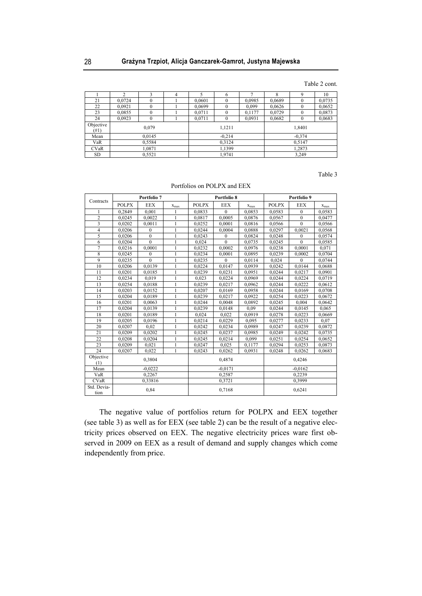Table 2 cont.

|                   |        |          |  |          | 6        |        | δ        |          | 10     |
|-------------------|--------|----------|--|----------|----------|--------|----------|----------|--------|
| 21                | 0,0724 |          |  | 0,0601   | $\theta$ | 0,0985 | 0,0689   |          | 0,0735 |
| 22                | 0,0921 | $\theta$ |  | 0.0699   | $\theta$ | 0,099  | 0,0626   | $\Omega$ | 0,0652 |
| 23                | 0,0855 | $\theta$ |  | 0.0711   | $\theta$ | 0,1177 | 0,0729   | $\theta$ | 0,0873 |
| 24                | 0,0923 |          |  | 0,0711   | $\theta$ | 0,0931 | 0,0682   |          | 0,0683 |
| Objective<br>(#1) | 0,079  |          |  | 1,1211   |          |        | 1,8401   |          |        |
| Mean              | 0,0145 |          |  | $-0.214$ |          |        | $-0.374$ |          |        |
| VaR               | 0,5584 |          |  | 0.3124   |          |        | 0.5147   |          |        |
| <b>CVaR</b>       | 1,0871 |          |  | 1,1399   |          |        | 1,2873   |          |        |
| <b>SD</b>         | 0,5521 |          |  | 1,9741   |          |        | 3,249    |          |        |

Table 3

Portfolios on POLPX and EEX

|                         | Portfolio 7  |                  |              | Portfolio 8  |                |           | Portfolio 9  |                  |           |
|-------------------------|--------------|------------------|--------------|--------------|----------------|-----------|--------------|------------------|-----------|
| Contracts               | <b>POLPX</b> | <b>EEX</b>       | $x_{max}$    | <b>POLPX</b> | <b>EEX</b>     | $X_{max}$ | <b>POLPX</b> | <b>EEX</b>       | $X_{max}$ |
|                         | 0,2849       | 0,001            |              | 0,0833       | $\mathbf{0}$   | 0,0853    | 0,0583       | $\boldsymbol{0}$ | 0,0583    |
| $\overline{2}$          | 0,0245       | 0,0022           | $\mathbf{1}$ | 0,0817       | 0,0005         | 0,0876    | 0,0567       | $\mathbf{0}$     | 0,0477    |
| $\overline{\mathbf{3}}$ | 0,0202       | 0,0011           | 1            | 0,0252       | 0,0001         | 0,0816    | 0,0566       | $\mathbf{0}$     | 0,0566    |
| $\overline{4}$          | 0,0206       | $\theta$         | $\mathbf{1}$ | 0,0244       | 0,0004         | 0,0888    | 0,0297       | 0,0021           | 0,0568    |
| 5                       | 0.0206       | $\theta$         | 1            | 0,0243       | $\Omega$       | 0,0824    | 0,0248       | $\Omega$         | 0,0574    |
| 6                       | 0,0204       | $\boldsymbol{0}$ | $\mathbf{1}$ | 0,024        | $\mathbf{0}$   | 0,0735    | 0,0245       | $\overline{0}$   | 0,0585    |
| $\overline{7}$          | 0,0216       | 0,0001           | $\mathbf{1}$ | 0,0232       | 0,0002         | 0,0976    | 0,0238       | 0.0001           | 0,071     |
| 8                       | 0,0245       | $\boldsymbol{0}$ | 1            | 0,0234       | 0,0001         | 0,0895    | 0,0239       | 0,0002           | 0,0704    |
| $\overline{9}$          | 0,0235       | $\theta$         | 1            | 0,0235       | $\overline{0}$ | 0,0114    | 0,024        | $\overline{0}$   | 0,0744    |
| 10                      | 0,0206       | 0,0139           | 1            | 0,0224       | 0,0147         | 0,0939    | 0,0242       | 0,0144           | 0,0688    |
| 11                      | 0,0201       | 0,0185           | $\mathbf{1}$ | 0,0239       | 0,0231         | 0,0951    | 0,0244       | 0,0217           | 0,0901    |
| 12                      | 0,0234       | 0,019            | 1            | 0,023        | 0,0224         | 0,0969    | 0,0244       | 0,0224           | 0,0719    |
| 13                      | 0,0254       | 0,0188           | 1            | 0,0239       | 0,0217         | 0,0962    | 0,0244       | 0,0222           | 0,0612    |
| 14                      | 0,0203       | 0,0152           | $\mathbf{1}$ | 0,0207       | 0,0169         | 0,0958    | 0,0244       | 0,0169           | 0,0708    |
| 15                      | 0,0204       | 0,0189           | $\mathbf{1}$ | 0,0239       | 0,0217         | 0,0922    | 0,0254       | 0,0223           | 0,0672    |
| 16                      | 0,0201       | 0,0063           | 1            | 0,0244       | 0,0048         | 0,0892    | 0,0245       | 0,004            | 0,0642    |
| 17                      | 0,0204       | 0.0139           | 1            | 0,0239       | 0,0148         | 0.09      | 0,0244       | 0,0145           | 0,065     |
| 18                      | 0,0201       | 0,0189           | 1            | 0,024        | 0,022          | 0,0919    | 0,0278       | 0,0223           | 0,0669    |
| 19                      | 0,0205       | 0,0196           | $\mathbf{1}$ | 0,0214       | 0,0229         | 0,095     | 0,0277       | 0,0233           | 0,07      |
| 20                      | 0,0207       | 0,02             | $\mathbf{1}$ | 0,0242       | 0,0234         | 0,0989    | 0,0247       | 0,0239           | 0,0872    |
| 21                      | 0.0209       | 0.0202           | 1            | 0.0245       | 0.0237         | 0.0985    | 0,0249       | 0.0242           | 0.0735    |
| 22                      | 0,0208       | 0,0204           | 1            | 0,0245       | 0,0214         | 0,099     | 0,0251       | 0,0254           | 0,0652    |
| 23                      | 0,0209       | 0.021            | $\mathbf{1}$ | 0,0247       | 0,025          | 0,1177    | 0,0294       | 0,0253           | 0,0873    |
| 24                      | 0.0207       | 0,022            | $\mathbf{1}$ | 0.0243       | 0,0262         | 0.0931    | 0,0248       | 0,0262           | 0.0683    |
| Objective<br>(1)        | 0,3804       |                  |              | 0,4874       |                |           | 0,4246       |                  |           |
| Mean                    | $-0,0222$    |                  |              | $-0.0171$    |                |           | $-0,0162$    |                  |           |
| VaR                     | 0.2267       |                  |              | 0,2587       |                |           | 0.2239       |                  |           |
| <b>CVaR</b>             | 0,33816      |                  |              | 0,3721       |                |           | 0,3999       |                  |           |
| Std. Devia-<br>tion     | 0,84         |                  |              |              | 0,7168         |           | 0,6241       |                  |           |

The negative value of portfolios return for POLPX and EEX together (see table 3) as well as for EEX (see table 2) can be the result of a negative electricity prices observed on EEX. The negative electricity prices ware first observed in 2009 on EEX as a result of demand and supply changes which come independently from price.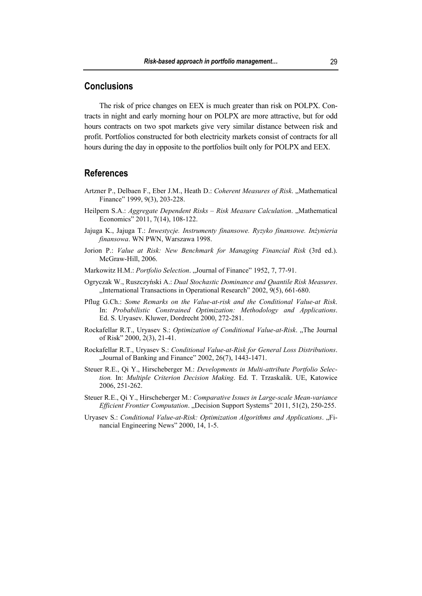## **Conclusions**

The risk of price changes on EEX is much greater than risk on POLPX. Contracts in night and early morning hour on POLPX are more attractive, but for odd hours contracts on two spot markets give very similar distance between risk and profit. Portfolios constructed for both electricity markets consist of contracts for all hours during the day in opposite to the portfolios built only for POLPX and EEX.

## **References**

- Artzner P., Delbaen F., Eber J.M., Heath D.: Coherent Measures of Risk. "Mathematical Finance" 1999, 9(3), 203-228.
- Heilpern S.A.: *Aggregate Dependent Risks Risk Measure Calculation*. "Mathematical Economics" 2011, 7(14), 108-122.
- Jajuga K., Jajuga T.: *Inwestycje. Instrumenty finansowe. Ryzyko finansowe. Inżynieria finansowa*. WN PWN, Warszawa 1998.
- Jorion P.: *Value at Risk: New Benchmark for Managing Financial Risk* (3rd ed.). McGraw-Hill, 2006.
- Markowitz H.M.: *Portfolio Selection*. "Journal of Finance" 1952, 7, 77-91.
- Ogryczak W., Ruszczyński A.: *Dual Stochastic Dominance and Quantile Risk Measures*. "International Transactions in Operational Research" 2002, 9(5), 661-680.
- Pflug G.Ch.: *Some Remarks on the Value-at-risk and the Conditional Value-at Risk*. In: *Probabilistic Constrained Optimization: Methodology and Applications*. Ed. S. Uryasev. Kluwer, Dordrecht 2000, 272-281.
- Rockafellar R.T., Uryasev S.: *Optimization of Conditional Value-at-Risk.* "The Journal of Risk" 2000, 2(3), 21-41.
- Rockafellar R.T., Uryasev S.: *Conditional Value-at-Risk for General Loss Distributions*. "Journal of Banking and Finance" 2002, 26(7), 1443-1471.
- Steuer R.E., Qi Y., Hirscheberger M.: *Developments in Multi-attribute Portfolio Selection.* In: *Multiple Criterion Decision Making*. Ed. T. Trzaskalik. UE, Katowice 2006, 251-262.
- Steuer R.E., Qi Y., Hirscheberger M.: *Comparative Issues in Large-scale Mean-variance Efficient Frontier Computation.* "Decision Support Systems" 2011, 51(2), 250-255.
- Uryasev S.: *Conditional Value-at-Risk: Optimization Algorithms and Applications.* "Financial Engineering News" 2000, 14, 1-5.